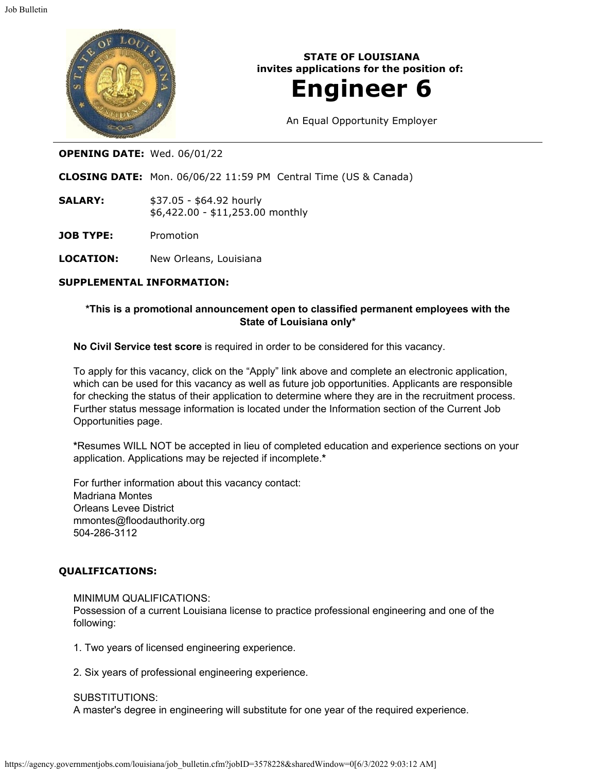

**STATE OF LOUISIANA invites applications for the position of:**

# **Engineer 6**

An Equal Opportunity Employer

## **OPENING DATE:** Wed. 06/01/22

**CLOSING DATE:** Mon. 06/06/22 11:59 PM Central Time (US & Canada)

**SALARY:** \$37.05 - \$64.92 hourly \$6,422.00 - \$11,253.00 monthly

**JOB TYPE:** Promotion

**LOCATION:** New Orleans, Louisiana

### **SUPPLEMENTAL INFORMATION:**

## **\*This is a promotional announcement open to classified permanent employees with the State of Louisiana only\***

**No Civil Service test score** is required in order to be considered for this vacancy.

To apply for this vacancy, click on the "Apply" link above and complete an electronic application, which can be used for this vacancy as well as future job opportunities. Applicants are responsible for checking the status of their application to determine where they are in the recruitment process. Further status message information is located under the Information section of the Current Job Opportunities page.

**\***Resumes WILL NOT be accepted in lieu of completed education and experience sections on your application. Applications may be rejected if incomplete.**\***

For further information about this vacancy contact: Madriana Montes Orleans Levee District mmontes@floodauthority.org 504-286-3112

### **QUALIFICATIONS:**

#### MINIMUM QUALIFICATIONS:

Possession of a current Louisiana license to practice professional engineering and one of the following:

- 1. Two years of licensed engineering experience.
- 2. Six years of professional engineering experience.

#### SUBSTITUTIONS:

A master's degree in engineering will substitute for one year of the required experience.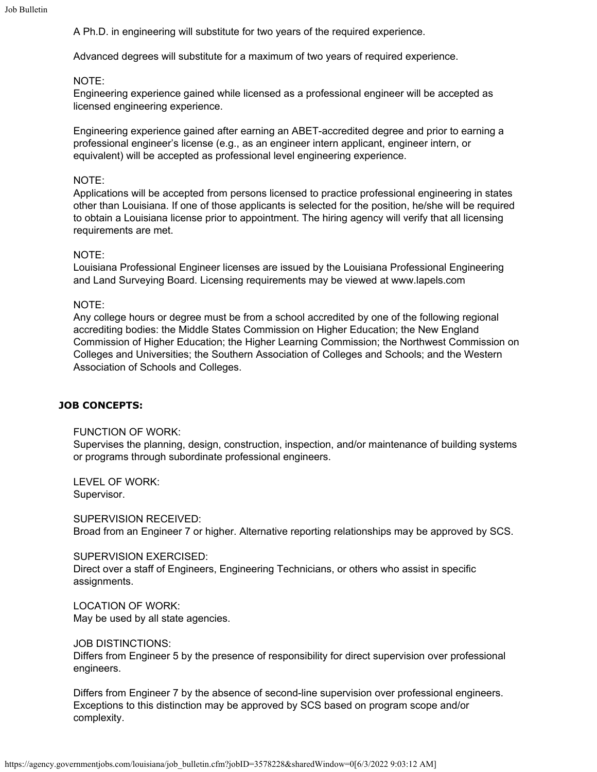A Ph.D. in engineering will substitute for two years of the required experience.

Advanced degrees will substitute for a maximum of two years of required experience.

### NOTE:

Engineering experience gained while licensed as a professional engineer will be accepted as licensed engineering experience.

Engineering experience gained after earning an ABET-accredited degree and prior to earning a professional engineer's license (e.g., as an engineer intern applicant, engineer intern, or equivalent) will be accepted as professional level engineering experience.

#### NOTE:

Applications will be accepted from persons licensed to practice professional engineering in states other than Louisiana. If one of those applicants is selected for the position, he/she will be required to obtain a Louisiana license prior to appointment. The hiring agency will verify that all licensing requirements are met.

#### NOTE:

Louisiana Professional Engineer licenses are issued by the Louisiana Professional Engineering and Land Surveying Board. Licensing requirements may be viewed at www.lapels.com

#### NOTE:

Any college hours or degree must be from a school accredited by one of the following regional accrediting bodies: the Middle States Commission on Higher Education; the New England Commission of Higher Education; the Higher Learning Commission; the Northwest Commission on Colleges and Universities; the Southern Association of Colleges and Schools; and the Western Association of Schools and Colleges.

### **JOB CONCEPTS:**

FUNCTION OF WORK:

Supervises the planning, design, construction, inspection, and/or maintenance of building systems or programs through subordinate professional engineers.

LEVEL OF WORK: Supervisor.

SUPERVISION RECEIVED: Broad from an Engineer 7 or higher. Alternative reporting relationships may be approved by SCS.

#### SUPERVISION EXERCISED:

Direct over a staff of Engineers, Engineering Technicians, or others who assist in specific assignments.

LOCATION OF WORK: May be used by all state agencies.

JOB DISTINCTIONS:

Differs from Engineer 5 by the presence of responsibility for direct supervision over professional engineers.

Differs from Engineer 7 by the absence of second-line supervision over professional engineers. Exceptions to this distinction may be approved by SCS based on program scope and/or complexity.